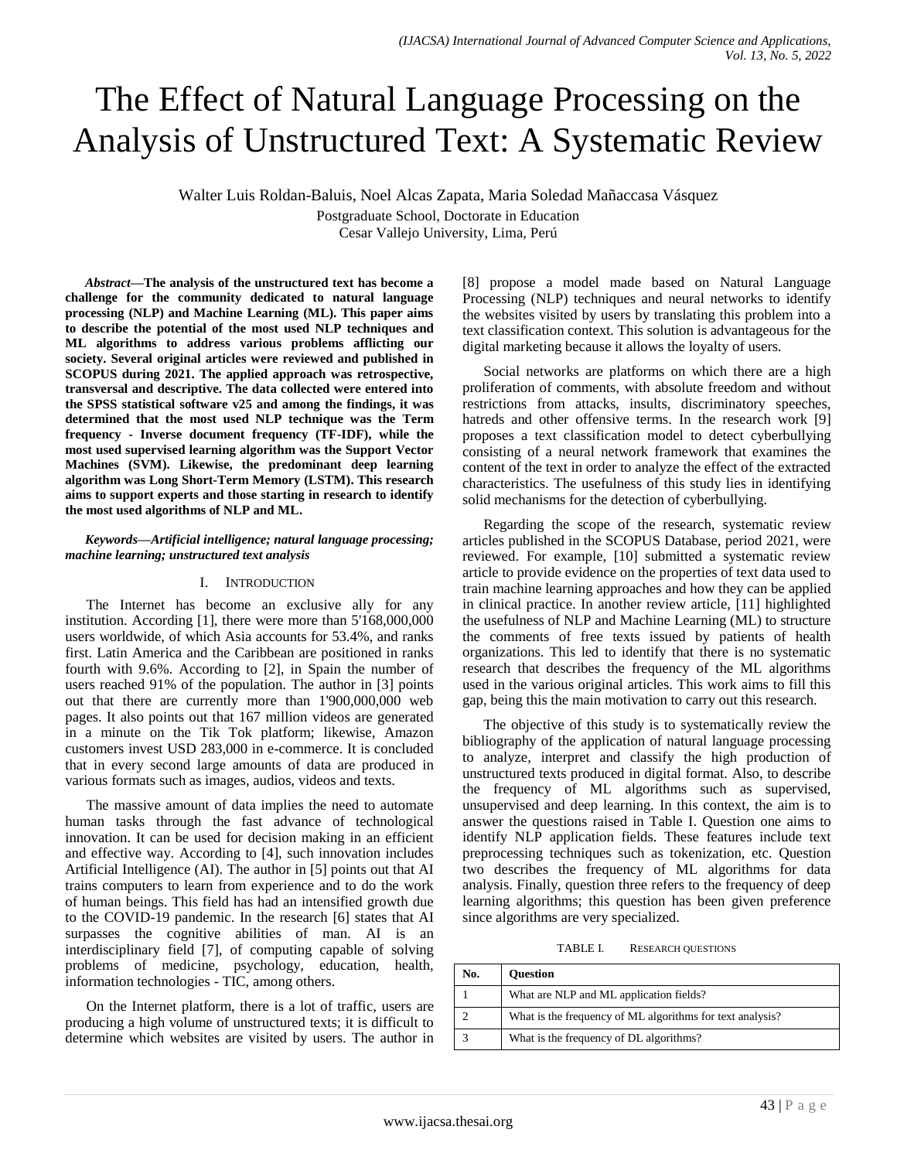# The Effect of Natural Language Processing on the Analysis of Unstructured Text: A Systematic Review

Walter Luis Roldan-Baluis, Noel Alcas Zapata, Maria Soledad Mañaccasa Vásquez Postgraduate School, Doctorate in Education Cesar Vallejo University, Lima, Perú

*Abstract***—The analysis of the unstructured text has become a challenge for the community dedicated to natural language processing (NLP) and Machine Learning (ML). This paper aims to describe the potential of the most used NLP techniques and ML algorithms to address various problems afflicting our society. Several original articles were reviewed and published in SCOPUS during 2021. The applied approach was retrospective, transversal and descriptive. The data collected were entered into the SPSS statistical software v25 and among the findings, it was determined that the most used NLP technique was the Term frequency - Inverse document frequency (TF-IDF), while the most used supervised learning algorithm was the Support Vector Machines (SVM). Likewise, the predominant deep learning algorithm was Long Short-Term Memory (LSTM). This research aims to support experts and those starting in research to identify the most used algorithms of NLP and ML.**

#### *Keywords—Artificial intelligence; natural language processing; machine learning; unstructured text analysis*

## I. INTRODUCTION

The Internet has become an exclusive ally for any institution. According [1], there were more than 5'168,000,000 users worldwide, of which Asia accounts for 53.4%, and ranks first. Latin America and the Caribbean are positioned in ranks fourth with 9.6%. According to [2], in Spain the number of users reached 91% of the population. The author in [3] points out that there are currently more than 1'900,000,000 web pages. It also points out that 167 million videos are generated in a minute on the Tik Tok platform; likewise, Amazon customers invest USD 283,000 in e-commerce. It is concluded that in every second large amounts of data are produced in various formats such as images, audios, videos and texts.

The massive amount of data implies the need to automate human tasks through the fast advance of technological innovation. It can be used for decision making in an efficient and effective way. According to [4], such innovation includes Artificial Intelligence (AI). The author in [5] points out that AI trains computers to learn from experience and to do the work of human beings. This field has had an intensified growth due to the COVID-19 pandemic. In the research [6] states that AI surpasses the cognitive abilities of man. AI is an interdisciplinary field [7], of computing capable of solving problems of medicine, psychology, education, health, information technologies - TIC, among others.

On the Internet platform, there is a lot of traffic, users are producing a high volume of unstructured texts; it is difficult to determine which websites are visited by users. The author in [8] propose a model made based on Natural Language Processing (NLP) techniques and neural networks to identify the websites visited by users by translating this problem into a text classification context. This solution is advantageous for the digital marketing because it allows the loyalty of users.

Social networks are platforms on which there are a high proliferation of comments, with absolute freedom and without restrictions from attacks, insults, discriminatory speeches, hatreds and other offensive terms. In the research work [9] proposes a text classification model to detect cyberbullying consisting of a neural network framework that examines the content of the text in order to analyze the effect of the extracted characteristics. The usefulness of this study lies in identifying solid mechanisms for the detection of cyberbullying.

Regarding the scope of the research, systematic review articles published in the SCOPUS Database, period 2021, were reviewed. For example, [10] submitted a systematic review article to provide evidence on the properties of text data used to train machine learning approaches and how they can be applied in clinical practice. In another review article, [11] highlighted the usefulness of NLP and Machine Learning (ML) to structure the comments of free texts issued by patients of health organizations. This led to identify that there is no systematic research that describes the frequency of the ML algorithms used in the various original articles. This work aims to fill this gap, being this the main motivation to carry out this research.

The objective of this study is to systematically review the bibliography of the application of natural language processing to analyze, interpret and classify the high production of unstructured texts produced in digital format. Also, to describe the frequency of ML algorithms such as supervised, unsupervised and deep learning. In this context, the aim is to answer the questions raised in Table I. Question one aims to identify NLP application fields. These features include text preprocessing techniques such as tokenization, etc. Question two describes the frequency of ML algorithms for data analysis. Finally, question three refers to the frequency of deep learning algorithms; this question has been given preference since algorithms are very specialized.

TABLE I. RESEARCH QUESTIONS

| No. | <b>Ouestion</b>                                           |
|-----|-----------------------------------------------------------|
|     | What are NLP and ML application fields?                   |
|     | What is the frequency of ML algorithms for text analysis? |
|     | What is the frequency of DL algorithms?                   |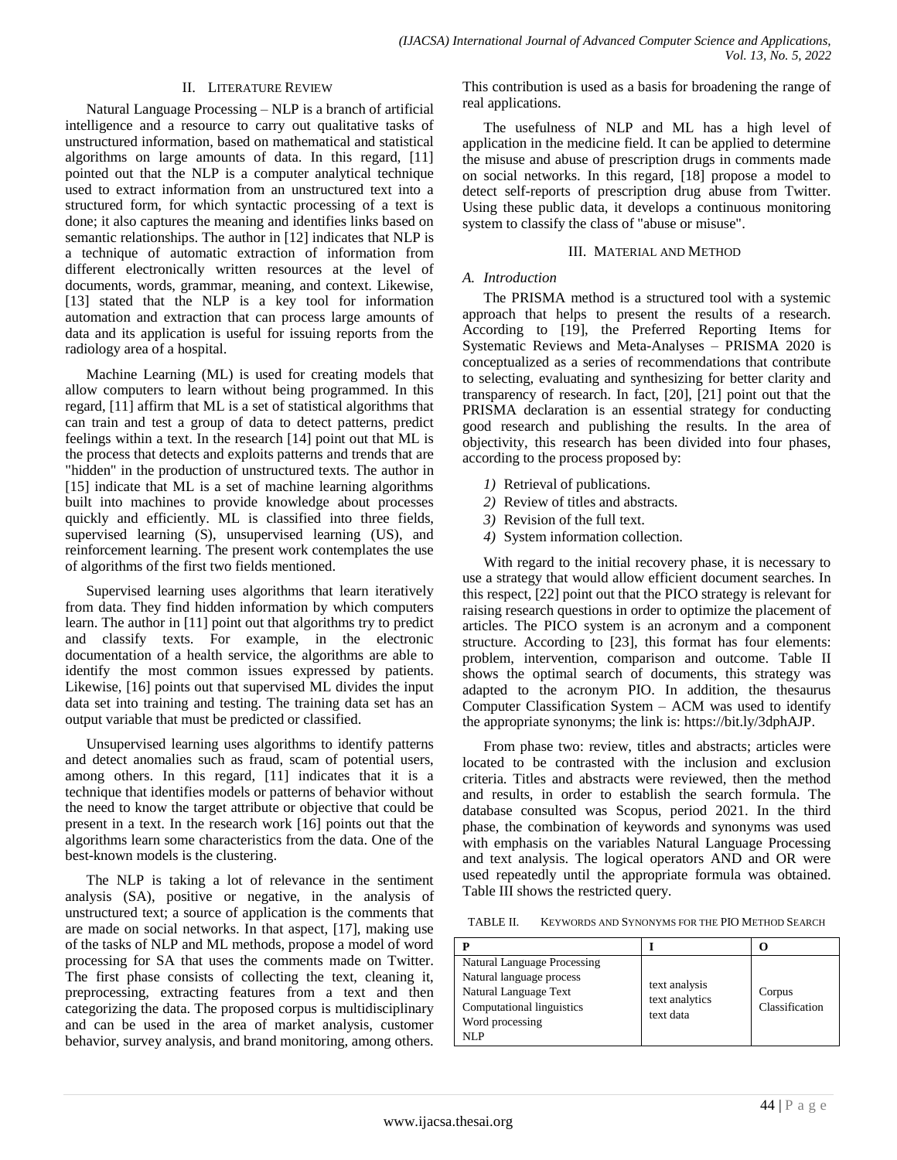## II. LITERATURE REVIEW

Natural Language Processing – NLP is a branch of artificial intelligence and a resource to carry out qualitative tasks of unstructured information, based on mathematical and statistical algorithms on large amounts of data. In this regard, [11] pointed out that the NLP is a computer analytical technique used to extract information from an unstructured text into a structured form, for which syntactic processing of a text is done; it also captures the meaning and identifies links based on semantic relationships. The author in [12] indicates that NLP is a technique of automatic extraction of information from different electronically written resources at the level of documents, words, grammar, meaning, and context. Likewise, [13] stated that the NLP is a key tool for information automation and extraction that can process large amounts of data and its application is useful for issuing reports from the radiology area of a hospital.

Machine Learning (ML) is used for creating models that allow computers to learn without being programmed. In this regard, [11] affirm that ML is a set of statistical algorithms that can train and test a group of data to detect patterns, predict feelings within a text. In the research [14] point out that ML is the process that detects and exploits patterns and trends that are "hidden" in the production of unstructured texts. The author in [15] indicate that ML is a set of machine learning algorithms built into machines to provide knowledge about processes quickly and efficiently. ML is classified into three fields, supervised learning (S), unsupervised learning (US), and reinforcement learning. The present work contemplates the use of algorithms of the first two fields mentioned.

Supervised learning uses algorithms that learn iteratively from data. They find hidden information by which computers learn. The author in [11] point out that algorithms try to predict and classify texts. For example, in the electronic documentation of a health service, the algorithms are able to identify the most common issues expressed by patients. Likewise, [16] points out that supervised ML divides the input data set into training and testing. The training data set has an output variable that must be predicted or classified.

Unsupervised learning uses algorithms to identify patterns and detect anomalies such as fraud, scam of potential users, among others. In this regard, [11] indicates that it is a technique that identifies models or patterns of behavior without the need to know the target attribute or objective that could be present in a text. In the research work [16] points out that the algorithms learn some characteristics from the data. One of the best-known models is the clustering.

The NLP is taking a lot of relevance in the sentiment analysis (SA), positive or negative, in the analysis of unstructured text; a source of application is the comments that are made on social networks. In that aspect, [17], making use of the tasks of NLP and ML methods, propose a model of word processing for SA that uses the comments made on Twitter. The first phase consists of collecting the text, cleaning it, preprocessing, extracting features from a text and then categorizing the data. The proposed corpus is multidisciplinary and can be used in the area of market analysis, customer behavior, survey analysis, and brand monitoring, among others.

This contribution is used as a basis for broadening the range of real applications.

The usefulness of NLP and ML has a high level of application in the medicine field. It can be applied to determine the misuse and abuse of prescription drugs in comments made on social networks. In this regard, [18] propose a model to detect self-reports of prescription drug abuse from Twitter. Using these public data, it develops a continuous monitoring system to classify the class of "abuse or misuse".

#### III. MATERIAL AND METHOD

### *A. Introduction*

The PRISMA method is a structured tool with a systemic approach that helps to present the results of a research. According to [19], the Preferred Reporting Items for Systematic Reviews and Meta-Analyses – PRISMA 2020 is conceptualized as a series of recommendations that contribute to selecting, evaluating and synthesizing for better clarity and transparency of research. In fact, [20], [21] point out that the PRISMA declaration is an essential strategy for conducting good research and publishing the results. In the area of objectivity, this research has been divided into four phases, according to the process proposed by:

- *1)* Retrieval of publications.
- *2)* Review of titles and abstracts.
- *3)* Revision of the full text.
- *4)* System information collection.

With regard to the initial recovery phase, it is necessary to use a strategy that would allow efficient document searches. In this respect, [22] point out that the PICO strategy is relevant for raising research questions in order to optimize the placement of articles. The PICO system is an acronym and a component structure. According to [23], this format has four elements: problem, intervention, comparison and outcome. Table II shows the optimal search of documents, this strategy was adapted to the acronym PIO. In addition, the thesaurus Computer Classification System – ACM was used to identify the appropriate synonyms; the link is: https://bit.ly/3dphAJP.

From phase two: review, titles and abstracts; articles were located to be contrasted with the inclusion and exclusion criteria. Titles and abstracts were reviewed, then the method and results, in order to establish the search formula. The database consulted was Scopus, period 2021. In the third phase, the combination of keywords and synonyms was used with emphasis on the variables Natural Language Processing and text analysis. The logical operators AND and OR were used repeatedly until the appropriate formula was obtained. Table III shows the restricted query.

TABLE II. KEYWORDS AND SYNONYMS FOR THE PIO METHOD SEARCH

| <b>Natural Language Processing</b> |                |                |
|------------------------------------|----------------|----------------|
| Natural language process           | text analysis  |                |
| Natural Language Text              | text analytics | Corpus         |
| Computational linguistics          | text data      | Classification |
| Word processing                    |                |                |
| NI P                               |                |                |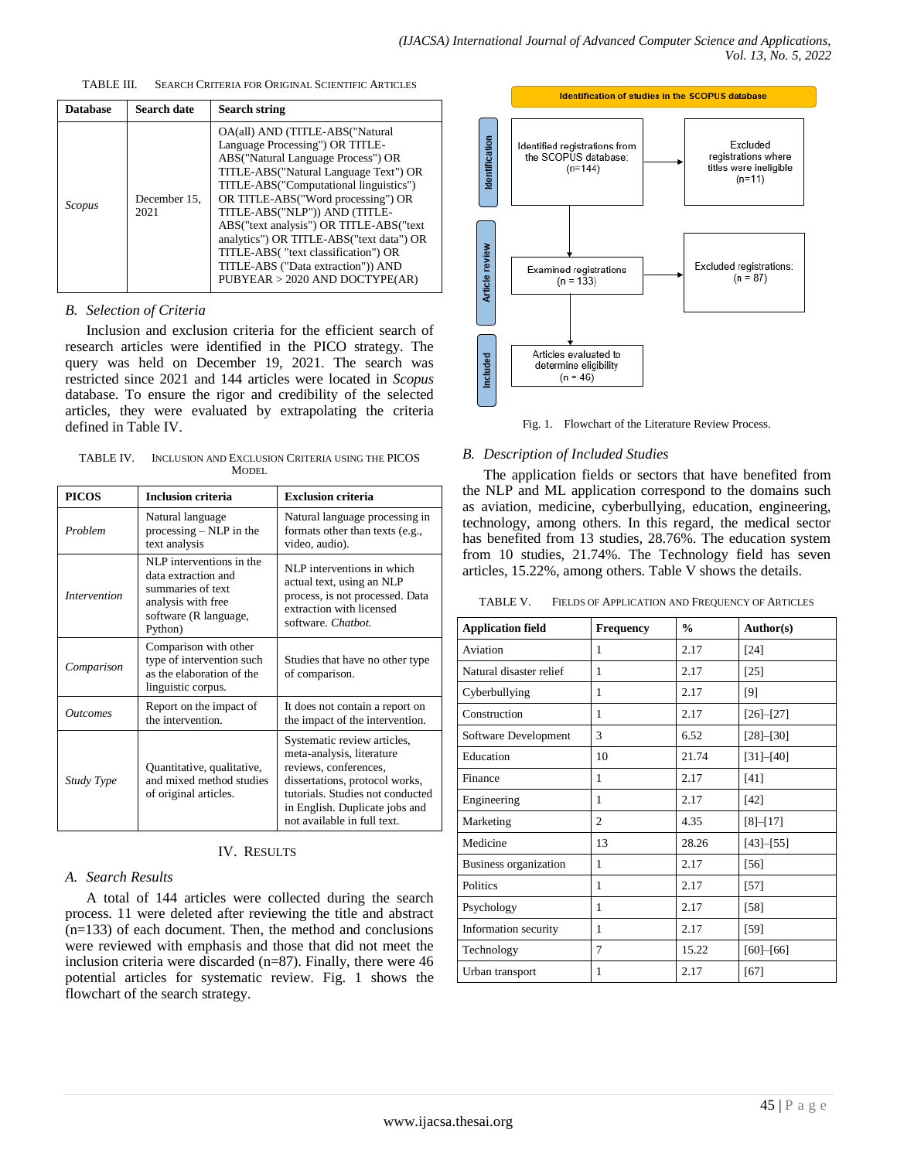| <b>Database</b> | Search date          | <b>Search string</b>                                                                                                                                                                                                                                                                                                                                                                                                                                                     |
|-----------------|----------------------|--------------------------------------------------------------------------------------------------------------------------------------------------------------------------------------------------------------------------------------------------------------------------------------------------------------------------------------------------------------------------------------------------------------------------------------------------------------------------|
| Scopus          | December 15,<br>2021 | OA(all) AND (TITLE-ABS("Natural<br>Language Processing") OR TITLE-<br>ABS("Natural Language Process") OR<br>TITLE-ABS("Natural Language Text") OR<br>TITLE-ABS("Computational linguistics")<br>OR TITLE-ABS("Word processing") OR<br>TITLE-ABS("NLP")) AND (TITLE-<br>ABS("text analysis") OR TITLE-ABS("text<br>analytics") OR TITLE-ABS("text data") OR<br>TITLE-ABS("text classification") OR<br>TITLE-ABS ("Data extraction")) AND<br>PUBYEAR > 2020 AND DOCTYPE(AR) |

#### TABLE III. SEARCH CRITERIA FOR ORIGINAL SCIENTIFIC ARTICLES

#### *B. Selection of Criteria*

Inclusion and exclusion criteria for the efficient search of research articles were identified in the PICO strategy. The query was held on December 19, 2021. The search was restricted since 2021 and 144 articles were located in *Scopus* database. To ensure the rigor and credibility of the selected articles, they were evaluated by extrapolating the criteria defined in Table IV.

TABLE IV. INCLUSION AND EXCLUSION CRITERIA USING THE PICOS MODEL

| <b>PICOS</b>                                                                                  | <b>Inclusion criteria</b>                                                                                                      | <b>Exclusion criteria</b>                                                                                                                                                                                                |
|-----------------------------------------------------------------------------------------------|--------------------------------------------------------------------------------------------------------------------------------|--------------------------------------------------------------------------------------------------------------------------------------------------------------------------------------------------------------------------|
| Problem                                                                                       | Natural language<br>$processing - NLP$ in the<br>text analysis                                                                 | Natural language processing in<br>formats other than texts (e.g.,<br>video, audio).                                                                                                                                      |
| <i>Intervention</i>                                                                           | NLP interventions in the<br>data extraction and<br>summaries of text<br>analysis with free<br>software (R language,<br>Python) | NLP interventions in which<br>actual text, using an NLP<br>process, is not processed. Data<br>extraction with licensed<br>software. Chatbot.                                                                             |
| Comparison                                                                                    | Comparison with other<br>type of intervention such<br>as the elaboration of the<br>linguistic corpus.                          | Studies that have no other type<br>of comparison.                                                                                                                                                                        |
| <i><u><b>Outcomes</b></u></i>                                                                 | Report on the impact of<br>the intervention.                                                                                   | It does not contain a report on<br>the impact of the intervention.                                                                                                                                                       |
| Quantitative, qualitative,<br>and mixed method studies<br>Study Type<br>of original articles. |                                                                                                                                | Systematic review articles,<br>meta-analysis, literature<br>reviews, conferences,<br>dissertations, protocol works,<br>tutorials. Studies not conducted<br>in English. Duplicate jobs and<br>not available in full text. |

### IV. RESULTS

#### *A. Search Results*

A total of 144 articles were collected during the search process. 11 were deleted after reviewing the title and abstract  $(n=133)$  of each document. Then, the method and conclusions were reviewed with emphasis and those that did not meet the inclusion criteria were discarded (n=87). Finally, there were 46 potential articles for systematic review. Fig. 1 shows the flowchart of the search strategy.





#### *B. Description of Included Studies*

The application fields or sectors that have benefited from the NLP and ML application correspond to the domains such as aviation, medicine, cyberbullying, education, engineering, technology, among others. In this regard, the medical sector has benefited from 13 studies, 28.76%. The education system from 10 studies, 21.74%. The Technology field has seven articles, 15.22%, among others. Table V shows the details.

TABLE V. FIELDS OF APPLICATION AND FREQUENCY OF ARTICLES

| <b>Application field</b> | <b>Frequency</b> | $\frac{0}{0}$ | Author(s)       |
|--------------------------|------------------|---------------|-----------------|
| Aviation                 | 1                | 2.17          | $[24]$          |
| Natural disaster relief  | 1                | 2.17          | $[25]$          |
| Cyberbullying            | 1                | 2.17          | [9]             |
| Construction             | 1                | 2.17          | $[26] - [27]$   |
| Software Development     | 3                | 6.52          | $[28] - [30]$   |
| Education                | 10               | 21.74         | $[31] - [40]$   |
| Finance                  | 1                | 2.17          | [41]            |
| Engineering              | 1                | 2.17          | $[42]$          |
| Marketing                | $\overline{2}$   | 4.35          | $[8] - [17]$    |
| Medicine                 | 13               | 28.26         | $[43] - [55]$   |
| Business organization    | 1                | 2.17          | $[56]$          |
| Politics                 | 1                | 2.17          | $[57]$          |
| Psychology               | 1                | 2.17          | $[58]$          |
| Information security     | 1                | 2.17          | $[59]$          |
| Technology               | $\overline{7}$   | 15.22         | $[60]$ - $[66]$ |
| Urban transport          | 1                | 2.17          | [67]            |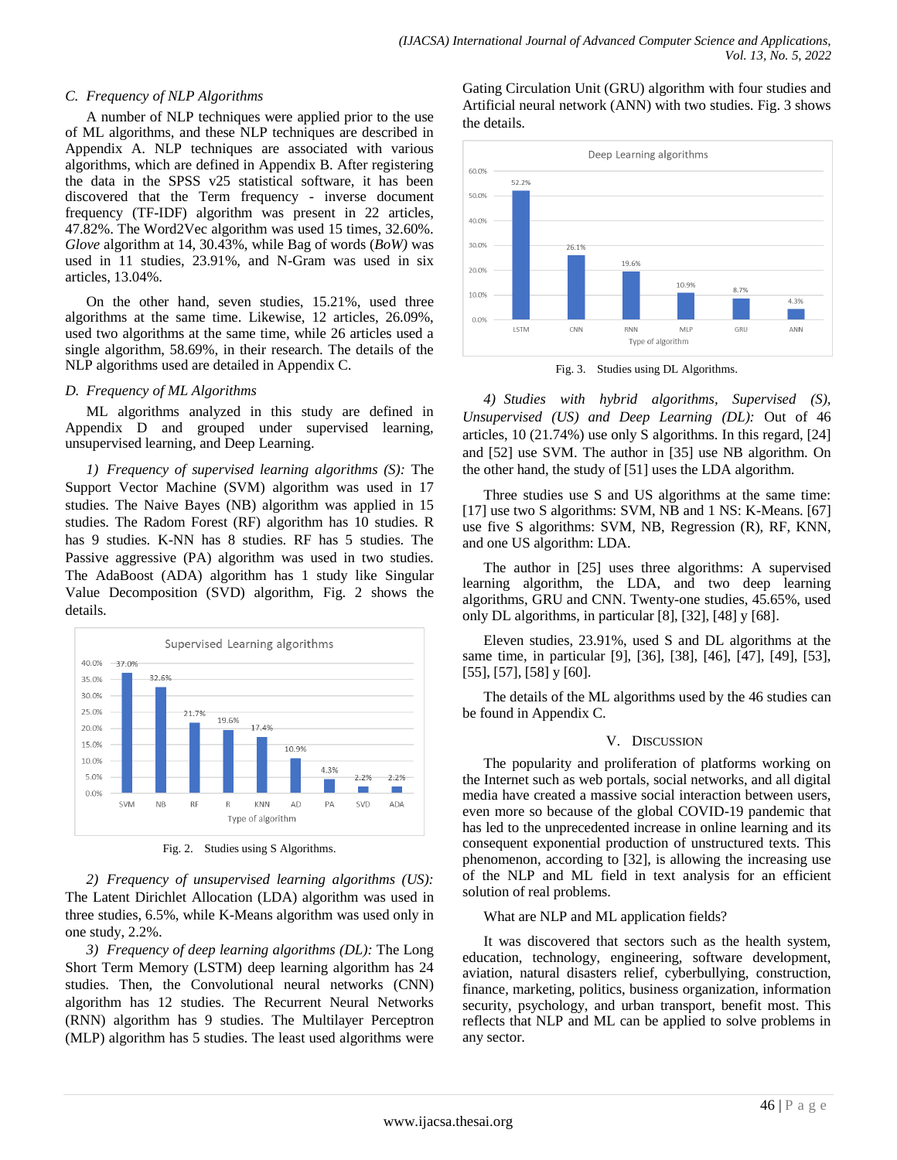# *C. Frequency of NLP Algorithms*

A number of NLP techniques were applied prior to the use of ML algorithms, and these NLP techniques are described in Appendix A. NLP techniques are associated with various algorithms, which are defined in Appendix B. After registering the data in the SPSS v25 statistical software, it has been discovered that the Term frequency - inverse document frequency (TF-IDF) algorithm was present in 22 articles, 47.82%. The Word2Vec algorithm was used 15 times, 32.60%. *Glove* algorithm at 14, 30.43%, while Bag of words (*BoW)* was used in 11 studies, 23.91%, and N-Gram was used in six articles, 13.04%.

On the other hand, seven studies, 15.21%, used three algorithms at the same time. Likewise, 12 articles, 26.09%, used two algorithms at the same time, while 26 articles used a single algorithm, 58.69%, in their research. The details of the NLP algorithms used are detailed in Appendix C.

## *D. Frequency of ML Algorithms*

ML algorithms analyzed in this study are defined in Appendix D and grouped under supervised learning, unsupervised learning, and Deep Learning.

*1) Frequency of supervised learning algorithms (S):* The Support Vector Machine (SVM) algorithm was used in 17 studies. The Naive Bayes (NB) algorithm was applied in 15 studies. The Radom Forest (RF) algorithm has 10 studies. R has 9 studies. K-NN has 8 studies. RF has 5 studies. The Passive aggressive (PA) algorithm was used in two studies. The AdaBoost (ADA) algorithm has 1 study like Singular Value Decomposition (SVD) algorithm, Fig. 2 shows the details.



Fig. 2. Studies using S Algorithms.

*2) Frequency of unsupervised learning algorithms (US):* The Latent Dirichlet Allocation (LDA) algorithm was used in three studies, 6.5%, while K-Means algorithm was used only in one study, 2.2%.

*3) Frequency of deep learning algorithms (DL):* The Long Short Term Memory (LSTM) deep learning algorithm has 24 studies. Then, the Convolutional neural networks (CNN) algorithm has 12 studies. The Recurrent Neural Networks (RNN) algorithm has 9 studies. The Multilayer Perceptron (MLP) algorithm has 5 studies. The least used algorithms were Gating Circulation Unit (GRU) algorithm with four studies and Artificial neural network (ANN) with two studies. Fig. 3 shows the details.



Fig. 3. Studies using DL Algorithms.

*4) Studies with hybrid algorithms, Supervised (S), Unsupervised (US) and Deep Learning (DL):* Out of 46 articles, 10 (21.74%) use only S algorithms. In this regard, [24] and [52] use SVM. The author in [35] use NB algorithm. On the other hand, the study of [51] uses the LDA algorithm.

Three studies use S and US algorithms at the same time: [17] use two S algorithms: SVM, NB and 1 NS: K-Means. [67] use five S algorithms: SVM, NB, Regression (R), RF, KNN, and one US algorithm: LDA.

The author in [25] uses three algorithms: A supervised learning algorithm, the LDA, and two deep learning algorithms, GRU and CNN. Twenty-one studies, 45.65%, used only DL algorithms, in particular [8], [32], [48] y [68].

Eleven studies, 23.91%, used S and DL algorithms at the same time, in particular [9], [36], [38], [46], [47], [49], [53], [55], [57], [58] y [60].

The details of the ML algorithms used by the 46 studies can be found in Appendix C.

# V. DISCUSSION

The popularity and proliferation of platforms working on the Internet such as web portals, social networks, and all digital media have created a massive social interaction between users, even more so because of the global COVID-19 pandemic that has led to the unprecedented increase in online learning and its consequent exponential production of unstructured texts. This phenomenon, according to [32], is allowing the increasing use of the NLP and ML field in text analysis for an efficient solution of real problems.

What are NLP and ML application fields?

It was discovered that sectors such as the health system, education, technology, engineering, software development, aviation, natural disasters relief, cyberbullying, construction, finance, marketing, politics, business organization, information security, psychology, and urban transport, benefit most. This reflects that NLP and ML can be applied to solve problems in any sector.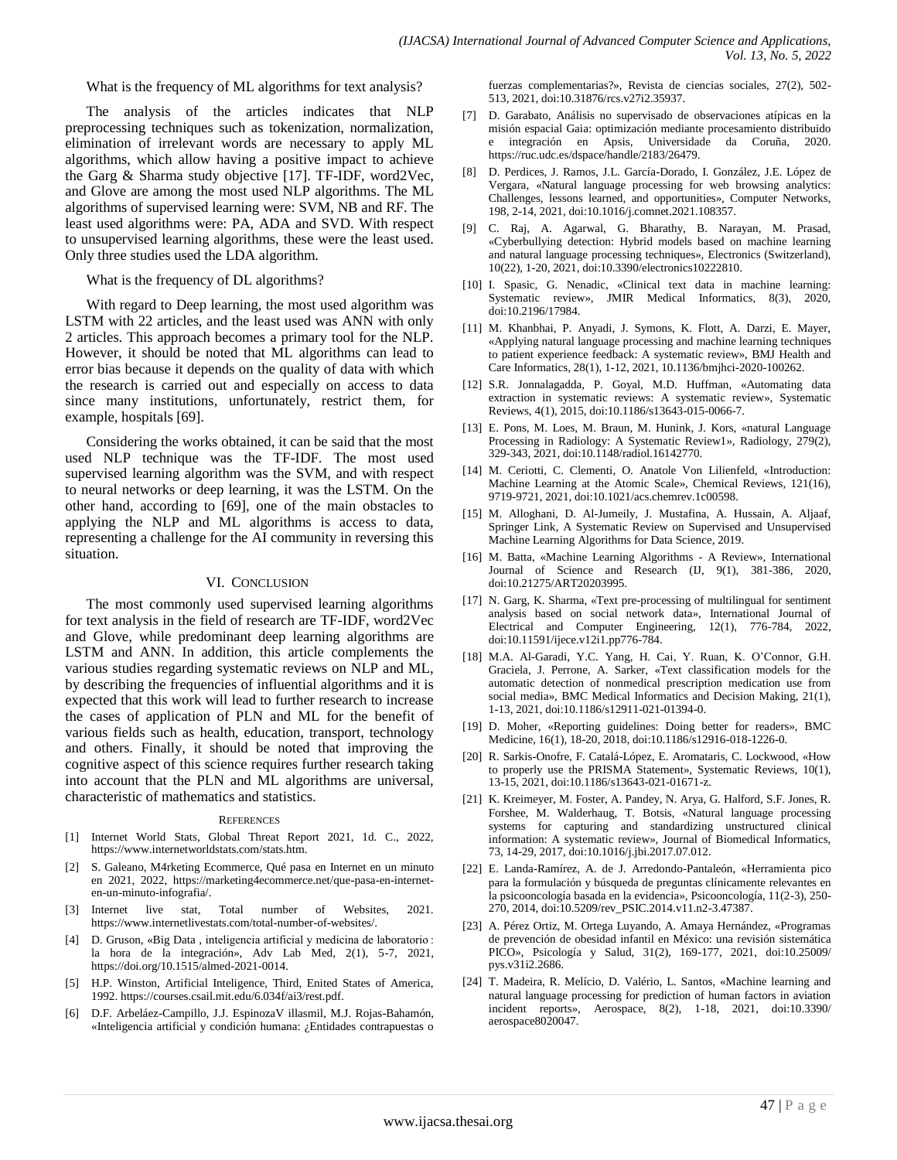What is the frequency of ML algorithms for text analysis?

The analysis of the articles indicates that NLP preprocessing techniques such as tokenization, normalization, elimination of irrelevant words are necessary to apply ML algorithms, which allow having a positive impact to achieve the Garg & Sharma study objective [17]. TF-IDF, word2Vec, and Glove are among the most used NLP algorithms. The ML algorithms of supervised learning were: SVM, NB and RF. The least used algorithms were: PA, ADA and SVD. With respect to unsupervised learning algorithms, these were the least used. Only three studies used the LDA algorithm.

#### What is the frequency of DL algorithms?

With regard to Deep learning*,* the most used algorithm was LSTM with 22 articles, and the least used was ANN with only 2 articles. This approach becomes a primary tool for the NLP. However, it should be noted that ML algorithms can lead to error bias because it depends on the quality of data with which the research is carried out and especially on access to data since many institutions, unfortunately, restrict them, for example, hospitals [69].

Considering the works obtained, it can be said that the most used NLP technique was the TF-IDF. The most used supervised learning algorithm was the SVM, and with respect to neural networks or deep learning, it was the LSTM. On the other hand, according to [69], one of the main obstacles to applying the NLP and ML algorithms is access to data, representing a challenge for the AI community in reversing this situation.

#### VI. CONCLUSION

The most commonly used supervised learning algorithms for text analysis in the field of research are TF-IDF, word2Vec and Glove, while predominant deep learning algorithms are LSTM and ANN. In addition, this article complements the various studies regarding systematic reviews on NLP and ML, by describing the frequencies of influential algorithms and it is expected that this work will lead to further research to increase the cases of application of PLN and ML for the benefit of various fields such as health, education, transport, technology and others. Finally, it should be noted that improving the cognitive aspect of this science requires further research taking into account that the PLN and ML algorithms are universal, characteristic of mathematics and statistics.

#### **REFERENCES**

- [1] Internet World Stats, Global Threat Report 2021, 1d. C., 2022, https://www.internetworldstats.com/stats.htm.
- [2] S. Galeano, M4rketing Ecommerce, Qué pasa en Internet en un minuto en 2021, 2022, https://marketing4ecommerce.net/que-pasa-en-interneten-un-minuto-infografia/.
- [3] Internet live stat, Total number of Websites, 2021. https://www.internetlivestats.com/total-number-of-websites/.
- [4] D. Gruson, «Big Data , inteligencia artificial y medicina de laboratorio : la hora de la integración», Adv Lab Med, 2(1), 5-7, 2021, https://doi.org/10.1515/almed-2021-0014.
- [5] H.P. Winston, Artificial Inteligence, Third, Enited States of America, 1992. https://courses.csail.mit.edu/6.034f/ai3/rest.pdf.
- [6] D.F. Arbeláez-Campillo, J.J. EspinozaV illasmil, M.J. Rojas-Bahamón, «Inteligencia artificial y condición humana: ¿Entidades contrapuestas o

fuerzas complementarias?», Revista de ciencias sociales, 27(2), 502- 513, 2021, doi:10.31876/rcs.v27i2.35937.

- [7] D. Garabato, Análisis no supervisado de observaciones atípicas en la misión espacial Gaia: optimización mediante procesamiento distribuido e integración en Apsis, Universidade da Coruña, 2020. https://ruc.udc.es/dspace/handle/2183/26479.
- [8] D. Perdices, J. Ramos, J.L. García-Dorado, I. González, J.E. López de Vergara, «Natural language processing for web browsing analytics: Challenges, lessons learned, and opportunities», Computer Networks, 198, 2-14, 2021, doi:10.1016/j.comnet.2021.108357.
- [9] C. Raj, A. Agarwal, G. Bharathy, B. Narayan, M. Prasad, «Cyberbullying detection: Hybrid models based on machine learning and natural language processing techniques», Electronics (Switzerland), 10(22), 1-20, 2021, doi:10.3390/electronics10222810.
- [10] I. Spasic, G. Nenadic, «Clinical text data in machine learning: Systematic review», JMIR Medical Informatics, 8(3), 2020, doi:10.2196/17984.
- [11] M. Khanbhai, P. Anyadi, J. Symons, K. Flott, A. Darzi, E. Mayer, «Applying natural language processing and machine learning techniques to patient experience feedback: A systematic review», BMJ Health and Care Informatics, 28(1), 1-12, 2021, 10.1136/bmjhci-2020-100262.
- [12] S.R. Jonnalagadda, P. Goyal, M.D. Huffman, «Automating data extraction in systematic reviews: A systematic review», Systematic Reviews, 4(1), 2015, doi:10.1186/s13643-015-0066-7.
- [13] E. Pons, M. Loes, M. Braun, M. Hunink, J. Kors, «natural Language Processing in Radiology: A Systematic Review1», Radiology, 279(2), 329-343, 2021, doi:10.1148/radiol.16142770.
- [14] M. Ceriotti, C. Clementi, O. Anatole Von Lilienfeld, «Introduction: Machine Learning at the Atomic Scale», Chemical Reviews, 121(16), 9719-9721, 2021, doi:10.1021/acs.chemrev.1c00598.
- [15] M. Alloghani, D. Al-Jumeily, J. Mustafina, A. Hussain, A. Aljaaf, Springer Link, A Systematic Review on Supervised and Unsupervised Machine Learning Algorithms for Data Science, 2019.
- [16] M. Batta, «Machine Learning Algorithms A Review», International Journal of Science and Research (IJ, 9(1), 381-386, 2020, doi:10.21275/ART20203995.
- [17] N. Garg, K. Sharma, «Text pre-processing of multilingual for sentiment analysis based on social network data», International Journal of Electrical and Computer Engineering, 12(1), 776-784, 2022, doi:10.11591/ijece.v12i1.pp776-784.
- [18] M.A. Al-Garadi, Y.C. Yang, H. Cai, Y. Ruan, K. O'Connor, G.H. Graciela, J. Perrone, A. Sarker, «Text classification models for the automatic detection of nonmedical prescription medication use from social media», BMC Medical Informatics and Decision Making, 21(1), 1-13, 2021, doi:10.1186/s12911-021-01394-0.
- [19] D. Moher, «Reporting guidelines: Doing better for readers», BMC Medicine, 16(1), 18-20, 2018, doi:10.1186/s12916-018-1226-0.
- [20] R. Sarkis-Onofre, F. Catalá-López, E. Aromataris, C. Lockwood, «How to properly use the PRISMA Statement», Systematic Reviews, 10(1), 13-15, 2021, doi:10.1186/s13643-021-01671-z.
- [21] K. Kreimeyer, M. Foster, A. Pandey, N. Arya, G. Halford, S.F. Jones, R. Forshee, M. Walderhaug, T. Botsis, «Natural language processing systems for capturing and standardizing unstructured clinical information: A systematic review», Journal of Biomedical Informatics, 73, 14-29, 2017, doi:10.1016/j.jbi.2017.07.012.
- [22] E. Landa-Ramírez, A. de J. Arredondo-Pantaleón, «Herramienta pico para la formulación y búsqueda de preguntas clínicamente relevantes en la psicooncología basada en la evidencia», Psicooncología, 11(2-3), 250- 270, 2014, doi:10.5209/rev\_PSIC.2014.v11.n2-3.47387.
- [23] A. Pérez Ortiz, M. Ortega Luyando, A. Amaya Hernández, «Programas de prevención de obesidad infantil en México: una revisión sistemática PICO», Psicología y Salud, 31(2), 169-177, 2021, doi:10.25009/ pys.v31i2.2686.
- [24] T. Madeira, R. Melício, D. Valério, L. Santos, «Machine learning and natural language processing for prediction of human factors in aviation incident reports», Aerospace, 8(2), 1-18, 2021, doi:10.3390/ aerospace8020047.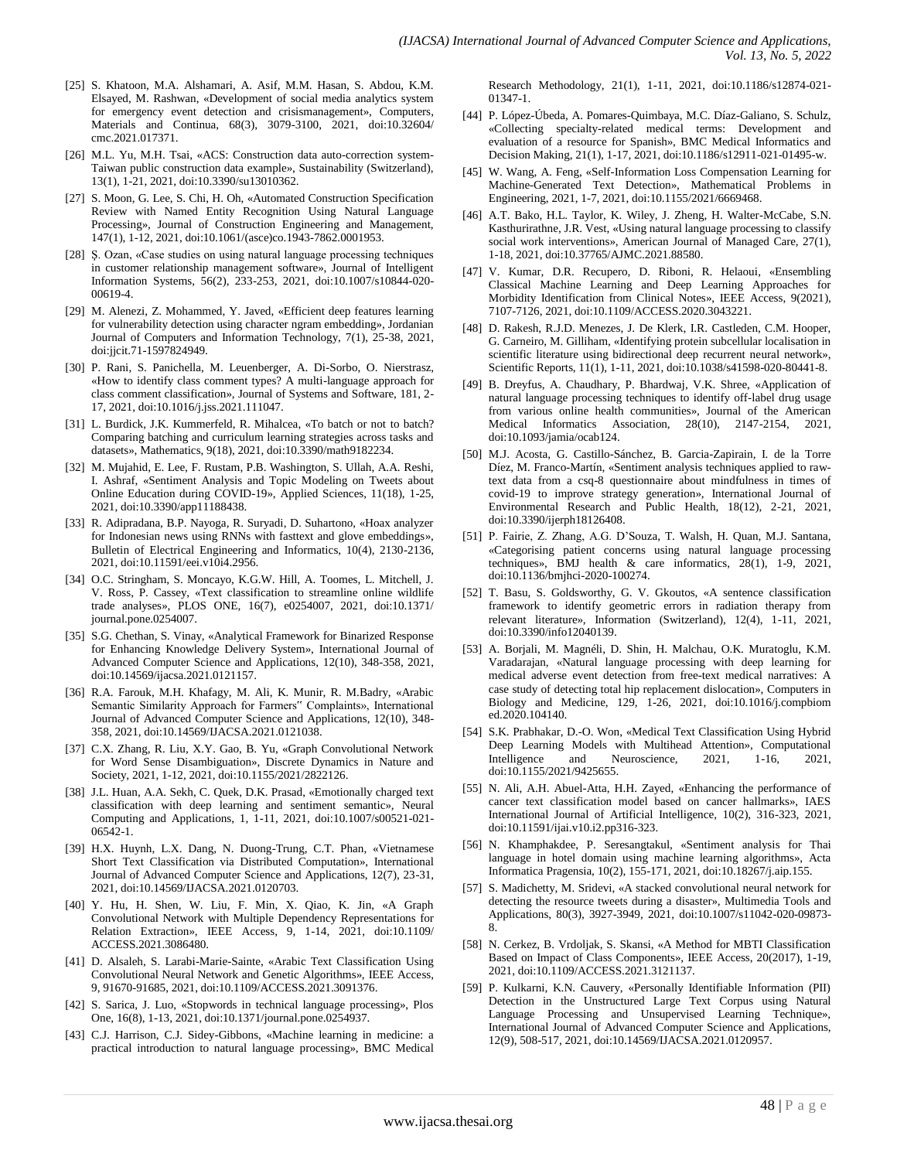- [25] S. Khatoon, M.A. Alshamari, A. Asif, M.M. Hasan, S. Abdou, K.M. Elsayed, M. Rashwan, «Development of social media analytics system for emergency event detection and crisismanagement», Computers, Materials and Continua, 68(3), 3079-3100, 2021, doi:10.32604/ cmc.2021.017371.
- [26] M.L. Yu, M.H. Tsai, «ACS: Construction data auto-correction system-Taiwan public construction data example», Sustainability (Switzerland), 13(1), 1-21, 2021, doi:10.3390/su13010362.
- [27] S. Moon, G. Lee, S. Chi, H. Oh, «Automated Construction Specification Review with Named Entity Recognition Using Natural Language Processing», Journal of Construction Engineering and Management, 147(1), 1-12, 2021, doi:10.1061/(asce)co.1943-7862.0001953.
- [28] Ş. Ozan, «Case studies on using natural language processing techniques in customer relationship management software», Journal of Intelligent Information Systems, 56(2), 233-253, 2021, doi:10.1007/s10844-020- 00619-4.
- [29] M. Alenezi, Z. Mohammed, Y. Javed, «Efficient deep features learning for vulnerability detection using character ngram embedding», Jordanian Journal of Computers and Information Technology, 7(1), 25-38, 2021, doi:jjcit.71-1597824949.
- [30] P. Rani, S. Panichella, M. Leuenberger, A. Di-Sorbo, O. Nierstrasz, «How to identify class comment types? A multi-language approach for class comment classification», Journal of Systems and Software, 181, 2- 17, 2021, doi:10.1016/j.jss.2021.111047.
- [31] L. Burdick, J.K. Kummerfeld, R. Mihalcea, «To batch or not to batch? Comparing batching and curriculum learning strategies across tasks and datasets», Mathematics, 9(18), 2021, doi:10.3390/math9182234.
- [32] M. Mujahid, E. Lee, F. Rustam, P.B. Washington, S. Ullah, A.A. Reshi, I. Ashraf, «Sentiment Analysis and Topic Modeling on Tweets about Online Education during COVID-19», Applied Sciences, 11(18), 1-25, 2021, doi:10.3390/app11188438.
- [33] R. Adipradana, B.P. Nayoga, R. Suryadi, D. Suhartono, «Hoax analyzer for Indonesian news using RNNs with fasttext and glove embeddings», Bulletin of Electrical Engineering and Informatics, 10(4), 2130-2136, 2021, doi:10.11591/eei.v10i4.2956.
- [34] O.C. Stringham, S. Moncayo, K.G.W. Hill, A. Toomes, L. Mitchell, J. V. Ross, P. Cassey, «Text classification to streamline online wildlife trade analyses», PLOS ONE, 16(7), e0254007, 2021, doi:10.1371/ journal.pone.0254007.
- [35] S.G. Chethan, S. Vinay, «Analytical Framework for Binarized Response for Enhancing Knowledge Delivery System», International Journal of Advanced Computer Science and Applications, 12(10), 348-358, 2021, doi:10.14569/ijacsa.2021.0121157.
- [36] R.A. Farouk, M.H. Khafagy, M. Ali, K. Munir, R. M.Badry, «Arabic Semantic Similarity Approach for Farmers" Complaints», International Journal of Advanced Computer Science and Applications, 12(10), 348- 358, 2021, doi:10.14569/IJACSA.2021.0121038.
- [37] C.X. Zhang, R. Liu, X.Y. Gao, B. Yu, «Graph Convolutional Network for Word Sense Disambiguation», Discrete Dynamics in Nature and Society, 2021, 1-12, 2021, doi:10.1155/2021/2822126.
- [38] J.L. Huan, A.A. Sekh, C. Quek, D.K. Prasad, «Emotionally charged text classification with deep learning and sentiment semantic», Neural Computing and Applications, 1, 1-11, 2021, doi:10.1007/s00521-021- 06542-1.
- [39] H.X. Huynh, L.X. Dang, N. Duong-Trung, C.T. Phan, «Vietnamese Short Text Classification via Distributed Computation», International Journal of Advanced Computer Science and Applications, 12(7), 23-31, 2021, doi:10.14569/IJACSA.2021.0120703.
- [40] Y. Hu, H. Shen, W. Liu, F. Min, X. Qiao, K. Jin, «A Graph Convolutional Network with Multiple Dependency Representations for Relation Extraction», IEEE Access, 9, 1-14, 2021, doi:10.1109/ ACCESS.2021.3086480.
- [41] D. Alsaleh, S. Larabi-Marie-Sainte, «Arabic Text Classification Using Convolutional Neural Network and Genetic Algorithms», IEEE Access, 9, 91670-91685, 2021, doi:10.1109/ACCESS.2021.3091376.
- [42] S. Sarica, J. Luo, «Stopwords in technical language processing», Plos One, 16(8), 1-13, 2021, doi:10.1371/journal.pone.0254937.
- [43] C.J. Harrison, C.J. Sidey-Gibbons, «Machine learning in medicine: a practical introduction to natural language processing», BMC Medical

Research Methodology, 21(1), 1-11, 2021, doi:10.1186/s12874-021- 01347-1.

- [44] P. López-Úbeda, A. Pomares-Quimbaya, M.C. Díaz-Galiano, S. Schulz, «Collecting specialty-related medical terms: Development and evaluation of a resource for Spanish», BMC Medical Informatics and Decision Making, 21(1), 1-17, 2021, doi:10.1186/s12911-021-01495-w.
- [45] W. Wang, A. Feng, «Self-Information Loss Compensation Learning for Machine-Generated Text Detection», Mathematical Problems in Engineering, 2021, 1-7, 2021, doi:10.1155/2021/6669468.
- [46] A.T. Bako, H.L. Taylor, K. Wiley, J. Zheng, H. Walter-McCabe, S.N. Kasthurirathne, J.R. Vest, «Using natural language processing to classify social work interventions», American Journal of Managed Care, 27(1), 1-18, 2021, doi:10.37765/AJMC.2021.88580.
- [47] V. Kumar, D.R. Recupero, D. Riboni, R. Helaoui, «Ensembling Classical Machine Learning and Deep Learning Approaches for Morbidity Identification from Clinical Notes», IEEE Access, 9(2021), 7107-7126, 2021, doi:10.1109/ACCESS.2020.3043221.
- [48] D. Rakesh, R.J.D. Menezes, J. De Klerk, I.R. Castleden, C.M. Hooper, G. Carneiro, M. Gilliham, «Identifying protein subcellular localisation in scientific literature using bidirectional deep recurrent neural network», Scientific Reports, 11(1), 1-11, 2021, doi:10.1038/s41598-020-80441-8.
- [49] B. Dreyfus, A. Chaudhary, P. Bhardwaj, V.K. Shree, «Application of natural language processing techniques to identify off-label drug usage from various online health communities», Journal of the American Medical Informatics Association, 28(10), 2147-2154, 2021, doi:10.1093/jamia/ocab124.
- [50] M.J. Acosta, G. Castillo-Sánchez, B. Garcia-Zapirain, I. de la Torre Díez, M. Franco-Martín, «Sentiment analysis techniques applied to rawtext data from a csq-8 questionnaire about mindfulness in times of covid-19 to improve strategy generation», International Journal of Environmental Research and Public Health, 18(12), 2-21, 2021, doi:10.3390/ijerph18126408.
- [51] P. Fairie, Z. Zhang, A.G. D'Souza, T. Walsh, H. Quan, M.J. Santana, «Categorising patient concerns using natural language processing techniques», BMJ health & care informatics, 28(1), 1-9, 2021, doi:10.1136/bmjhci-2020-100274.
- [52] T. Basu, S. Goldsworthy, G. V. Gkoutos, «A sentence classification framework to identify geometric errors in radiation therapy from relevant literature», Information (Switzerland), 12(4), 1-11, 2021, doi:10.3390/info12040139.
- [53] A. Borjali, M. Magnéli, D. Shin, H. Malchau, O.K. Muratoglu, K.M. Varadarajan, «Natural language processing with deep learning for medical adverse event detection from free-text medical narratives: A case study of detecting total hip replacement dislocation», Computers in Biology and Medicine, 129, 1-26, 2021, doi:10.1016/j.compbiom ed.2020.104140.
- [54] S.K. Prabhakar, D.-O. Won, «Medical Text Classification Using Hybrid Deep Learning Models with Multihead Attention», Computational Intelligence and Neuroscience, 2021, 1-16, 2021, Intelligence and Neuroscience, 2021, 1-16, 2021, doi:10.1155/2021/9425655.
- [55] N. Ali, A.H. Abuel-Atta, H.H. Zayed, «Enhancing the performance of cancer text classification model based on cancer hallmarks», IAES International Journal of Artificial Intelligence, 10(2), 316-323, 2021, doi:10.11591/ijai.v10.i2.pp316-323.
- [56] N. Khamphakdee, P. Seresangtakul, «Sentiment analysis for Thai language in hotel domain using machine learning algorithms», Acta Informatica Pragensia, 10(2), 155-171, 2021, doi:10.18267/j.aip.155.
- [57] S. Madichetty, M. Sridevi, «A stacked convolutional neural network for detecting the resource tweets during a disaster», Multimedia Tools and Applications, 80(3), 3927-3949, 2021, doi:10.1007/s11042-020-09873- 8.
- [58] N. Cerkez, B. Vrdoljak, S. Skansi, «A Method for MBTI Classification Based on Impact of Class Components», IEEE Access, 20(2017), 1-19, 2021, doi:10.1109/ACCESS.2021.3121137.
- [59] P. Kulkarni, K.N. Cauvery, «Personally Identifiable Information (PII) Detection in the Unstructured Large Text Corpus using Natural Language Processing and Unsupervised Learning Technique», International Journal of Advanced Computer Science and Applications, 12(9), 508-517, 2021, doi:10.14569/IJACSA.2021.0120957.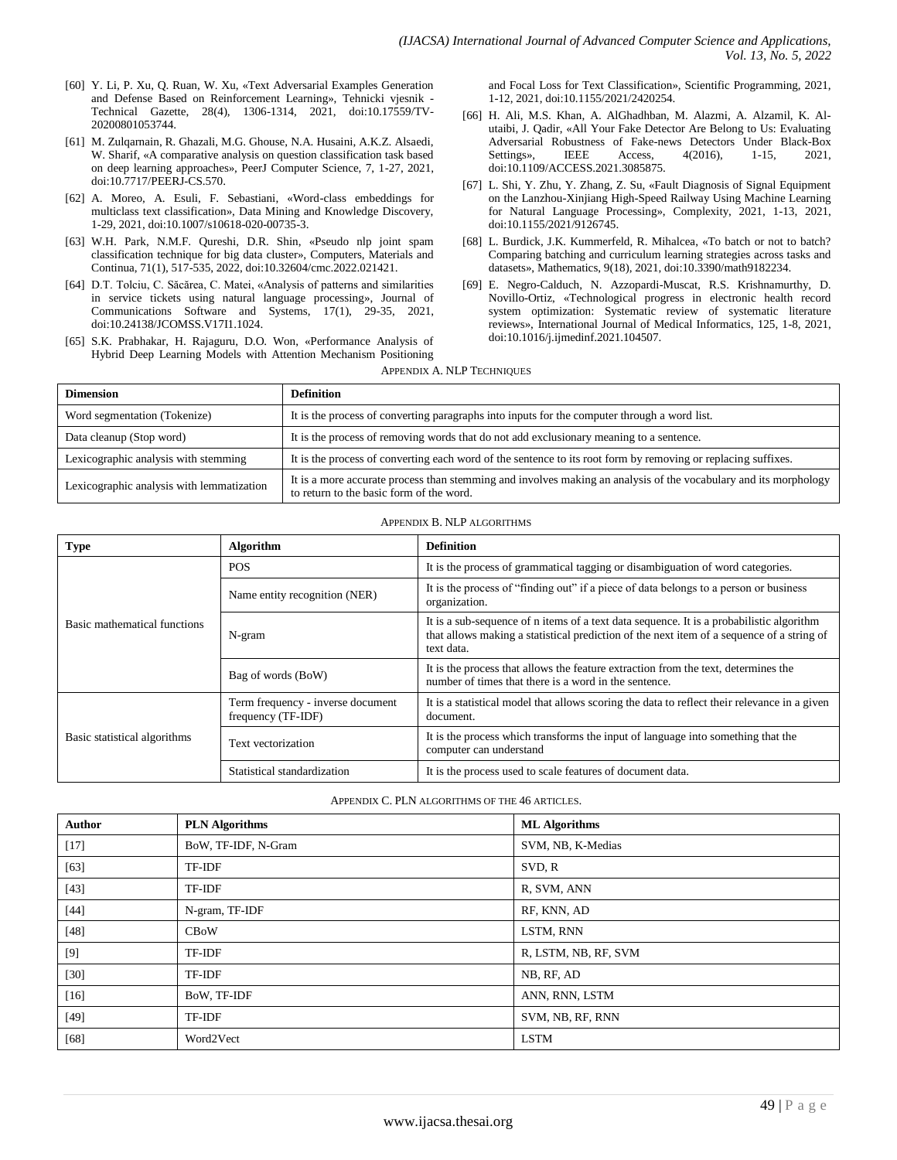- [60] Y. Li, P. Xu, Q. Ruan, W. Xu, «Text Adversarial Examples Generation and Defense Based on Reinforcement Learning», Tehnicki vjesnik - Technical Gazette, 28(4), 1306-1314, 2021, doi:10.17559/TV-20200801053744.
- [61] M. Zulqarnain, R. Ghazali, M.G. Ghouse, N.A. Husaini, A.K.Z. Alsaedi, W. Sharif, «A comparative analysis on question classification task based on deep learning approaches», PeerJ Computer Science, 7, 1-27, 2021, doi:10.7717/PEERJ-CS.570.
- [62] A. Moreo, A. Esuli, F. Sebastiani, «Word-class embeddings for multiclass text classification», Data Mining and Knowledge Discovery, 1-29, 2021, doi:10.1007/s10618-020-00735-3.
- [63] W.H. Park, N.M.F. Qureshi, D.R. Shin, «Pseudo nlp joint spam classification technique for big data cluster», Computers, Materials and Continua, 71(1), 517-535, 2022, doi:10.32604/cmc.2022.021421.
- [64] D.T. Tolciu, C. Săcărea, C. Matei, «Analysis of patterns and similarities in service tickets using natural language processing», Journal of Communications Software and Systems, 17(1), 29-35, 2021, doi:10.24138/JCOMSS.V17I1.1024.
- [65] S.K. Prabhakar, H. Rajaguru, D.O. Won, «Performance Analysis of Hybrid Deep Learning Models with Attention Mechanism Positioning

and Focal Loss for Text Classification», Scientific Programming, 2021, 1-12, 2021, doi:10.1155/2021/2420254.

- [66] H. Ali, M.S. Khan, A. AlGhadhban, M. Alazmi, A. Alzamil, K. Alutaibi, J. Qadir, «All Your Fake Detector Are Belong to Us: Evaluating Adversarial Robustness of Fake-news Detectors Under Black-Box Settings», IEEE Access, 4(2016), 1-15, 2021, doi:10.1109/ACCESS.2021.3085875.
- [67] L. Shi, Y. Zhu, Y. Zhang, Z. Su, «Fault Diagnosis of Signal Equipment on the Lanzhou-Xinjiang High-Speed Railway Using Machine Learning for Natural Language Processing», Complexity, 2021, 1-13, 2021, doi:10.1155/2021/9126745.
- [68] L. Burdick, J.K. Kummerfeld, R. Mihalcea, «To batch or not to batch? Comparing batching and curriculum learning strategies across tasks and datasets», Mathematics, 9(18), 2021, doi:10.3390/math9182234.
- [69] E. Negro-Calduch, N. Azzopardi-Muscat, R.S. Krishnamurthy, D. Novillo-Ortiz, «Technological progress in electronic health record system optimization: Systematic review of systematic literature reviews», International Journal of Medical Informatics, 125, 1-8, 2021, doi:10.1016/j.ijmedinf.2021.104507.

|  |  | <b>APPENDIX A. NLP TECHNIQUES</b> |
|--|--|-----------------------------------|
|  |  |                                   |

| <b>Dimension</b>                          | <b>Definition</b>                                                                                                                                            |
|-------------------------------------------|--------------------------------------------------------------------------------------------------------------------------------------------------------------|
| Word segmentation (Tokenize)              | It is the process of converting paragraphs into inputs for the computer through a word list.                                                                 |
| Data cleanup (Stop word)                  | It is the process of removing words that do not add exclusionary meaning to a sentence.                                                                      |
| Lexicographic analysis with stemming      | It is the process of converting each word of the sentence to its root form by removing or replacing suffixes.                                                |
| Lexicographic analysis with lemmatization | It is a more accurate process than stemming and involves making an analysis of the vocabulary and its morphology<br>to return to the basic form of the word. |

#### APPENDIX B. NLP ALGORITHMS

| Type                         | Algorithm                                               | <b>Definition</b>                                                                                                                                                                                   |
|------------------------------|---------------------------------------------------------|-----------------------------------------------------------------------------------------------------------------------------------------------------------------------------------------------------|
|                              | <b>POS</b>                                              | It is the process of grammatical tagging or disambiguation of word categories.                                                                                                                      |
|                              | Name entity recognition (NER)                           | It is the process of "finding out" if a piece of data belongs to a person or business<br>organization.                                                                                              |
| Basic mathematical functions | N-gram                                                  | It is a sub-sequence of n items of a text data sequence. It is a probabilistic algorithm<br>that allows making a statistical prediction of the next item of a sequence of a string of<br>text data. |
|                              | Bag of words (BoW)                                      | It is the process that allows the feature extraction from the text, determines the<br>number of times that there is a word in the sentence.                                                         |
|                              | Term frequency - inverse document<br>frequency (TF-IDF) | It is a statistical model that allows scoring the data to reflect their relevance in a given<br>document.                                                                                           |
| Basic statistical algorithms | Text vectorization                                      | It is the process which transforms the input of language into something that the<br>computer can understand                                                                                         |
|                              | Statistical standardization                             | It is the process used to scale features of document data.                                                                                                                                          |

APPENDIX C. PLN ALGORITHMS OF THE 46 ARTICLES.

| Author | <b>PLN</b> Algorithms | <b>ML</b> Algorithms |
|--------|-----------------------|----------------------|
| $[17]$ | BoW, TF-IDF, N-Gram   | SVM, NB, K-Medias    |
| $[63]$ | TF-IDF                | SVD, R               |
| $[43]$ | TF-IDF                | R, SVM, ANN          |
| $[44]$ | N-gram, TF-IDF        | RF, KNN, AD          |
| [48]   | CBoW                  | LSTM, RNN            |
| $[9]$  | TF-IDF                | R, LSTM, NB, RF, SVM |
| $[30]$ | TF-IDF                | NB, RF, AD           |
| $[16]$ | BoW, TF-IDF           | ANN, RNN, LSTM       |
| [49]   | TF-IDF                | SVM, NB, RF, RNN     |
| $[68]$ | Word2Vect             | <b>LSTM</b>          |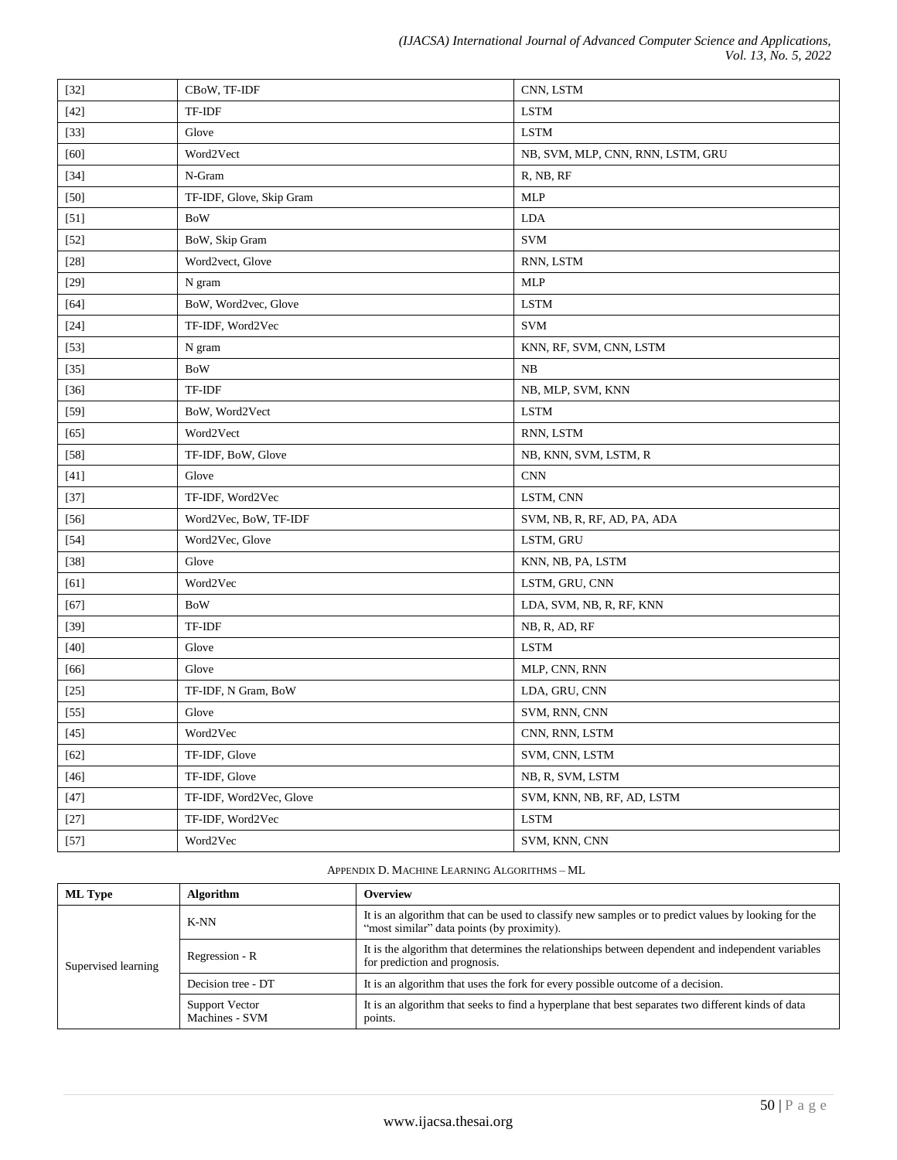| $[32]$ | CBoW, TF-IDF             | CNN, LSTM                         |
|--------|--------------------------|-----------------------------------|
| $[42]$ | TF-IDF                   | <b>LSTM</b>                       |
| $[33]$ | Glove                    | <b>LSTM</b>                       |
| [60]   | Word2Vect                | NB, SVM, MLP, CNN, RNN, LSTM, GRU |
| $[34]$ | N-Gram                   | R, NB, RF                         |
| $[50]$ | TF-IDF, Glove, Skip Gram | <b>MLP</b>                        |
| $[51]$ | <b>BoW</b>               | LDA                               |
| $[52]$ | BoW, Skip Gram           | <b>SVM</b>                        |
| $[28]$ | Word2vect, Glove         | RNN, LSTM                         |
| $[29]$ | N gram                   | <b>MLP</b>                        |
| $[64]$ | BoW, Word2vec, Glove     | <b>LSTM</b>                       |
| $[24]$ | TF-IDF, Word2Vec         | <b>SVM</b>                        |
| $[53]$ | N gram                   | KNN, RF, SVM, CNN, LSTM           |
| $[35]$ | <b>BoW</b>               | NB                                |
| $[36]$ | TF-IDF                   | NB, MLP, SVM, KNN                 |
| $[59]$ | BoW, Word2Vect           | <b>LSTM</b>                       |
| $[65]$ | Word2Vect                | RNN, LSTM                         |
| $[58]$ | TF-IDF, BoW, Glove       | NB, KNN, SVM, LSTM, R             |
| $[41]$ | Glove                    | <b>CNN</b>                        |
| $[37]$ | TF-IDF, Word2Vec         | LSTM, CNN                         |
| $[56]$ | Word2Vec, BoW, TF-IDF    | SVM, NB, R, RF, AD, PA, ADA       |
| $[54]$ | Word2Vec, Glove          | LSTM, GRU                         |
| $[38]$ | Glove                    | KNN, NB, PA, LSTM                 |
| [61]   | Word2Vec                 | LSTM, GRU, CNN                    |
| $[67]$ | <b>BoW</b>               | LDA, SVM, NB, R, RF, KNN          |
| $[39]$ | TF-IDF                   | NB, R, AD, RF                     |
| $[40]$ | Glove                    | <b>LSTM</b>                       |
| [66]   | Glove                    | MLP, CNN, RNN                     |
| $[25]$ | TF-IDF, N Gram, BoW      | LDA, GRU, CNN                     |
| $[55]$ | Glove                    | SVM, RNN, CNN                     |
| $[45]$ | Word2Vec                 | CNN, RNN, LSTM                    |
| $[62]$ | TF-IDF, Glove            | SVM, CNN, LSTM                    |
| $[46]$ | TF-IDF, Glove            | NB, R, SVM, LSTM                  |
| $[47]$ | TF-IDF, Word2Vec, Glove  | SVM, KNN, NB, RF, AD, LSTM        |
| $[27]$ | TF-IDF, Word2Vec         | <b>LSTM</b>                       |
| $[57]$ | Word2Vec                 | SVM, KNN, CNN                     |

# APPENDIX D. MACHINE LEARNING ALGORITHMS – ML

| <b>ML</b> Type      | <b>Algorithm</b>                 | <b>Overview</b>                                                                                                                                   |  |
|---------------------|----------------------------------|---------------------------------------------------------------------------------------------------------------------------------------------------|--|
| Supervised learning | K-NN                             | It is an algorithm that can be used to classify new samples or to predict values by looking for the<br>"most similar" data points (by proximity). |  |
|                     | Regression - R                   | It is the algorithm that determines the relationships between dependent and independent variables<br>for prediction and prognosis.                |  |
|                     | Decision tree - DT               | It is an algorithm that uses the fork for every possible outcome of a decision.                                                                   |  |
|                     | Support Vector<br>Machines - SVM | It is an algorithm that seeks to find a hyperplane that best separates two different kinds of data<br>points.                                     |  |